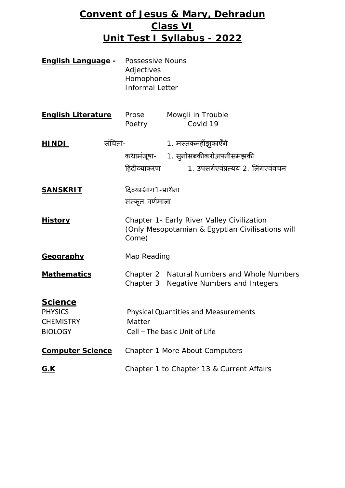# **Convent of Jesus & Mary, Dehradun Class VI Unit Test I Syllabus - 2022**

| <u> English Languag</u> e -                                            | Possessive Nouns<br>Adjectives<br>Homophones<br><b>Informal Letter</b>                                  |                                                                                                 |
|------------------------------------------------------------------------|---------------------------------------------------------------------------------------------------------|-------------------------------------------------------------------------------------------------|
| <b>English Literature</b>                                              | Prose<br>Poetry                                                                                         | Mowgli in Trouble<br>Covid 19                                                                   |
| संचिता-<br><u>HINDI_</u>                                               | हिंदीव्याकरण                                                                                            | 1. मस्तकनहींझुकाएँगे<br>कथामंजूषा- 1. सुनोसबकीकरोअपनीसमझकी<br>1. उपसर्गएवंप्रत्यय 2. लिंगएवंवचन |
| <u>SANSKRIT</u>                                                        | दिव्यम्भाग1-प्रार्थना<br>संस्कृत-वर्णमाला                                                               |                                                                                                 |
| <u>History</u>                                                         | Chapter 1- Early River Valley Civilization<br>(Only Mesopotamian & Egyptian Civilisations will<br>Come) |                                                                                                 |
| <u>Geography</u>                                                       | Map Reading                                                                                             |                                                                                                 |
| <u>Mathematics</u>                                                     |                                                                                                         | Chapter 2 Natural Numbers and Whole Numbers<br>Chapter 3 Negative Numbers and Integers          |
| <u>Science</u><br><b>PHYSICS</b><br><b>CHEMISTRY</b><br><b>BIOLOGY</b> | <b>Physical Quantities and Measurements</b><br>Matter<br>Cell - The basic Unit of Life                  |                                                                                                 |
| <b>Computer Science</b>                                                | Chapter 1 More About Computers                                                                          |                                                                                                 |
| <u>G.K</u>                                                             | Chapter 1 to Chapter 13 & Current Affairs                                                               |                                                                                                 |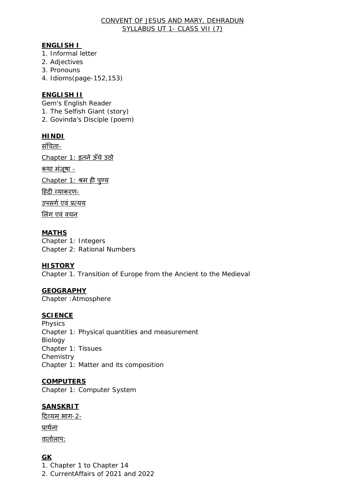#### CONVENT OF JESUS AND MARY, DEHRADUN SYLLABUS UT 1- CLASS VII (7)

#### **ENGLISH I**

- 1. Informal letter
- 2. Adjectives
- 3. Pronouns
- 4. Idioms(page-152,153)

#### **ENGLISH II**

Gem's English Reader

- 1. The Selfish Giant (story)
- 2. Govinda's Disciple (poem)

#### **HINDI**

सं�चता-

Chapter 1: इतने ऊँचे उठो

कथा मंजूषा -

Chapter 1: श्रम ह� पुण्य

हिंदी व्याकरण-

उपसर्ग एवं प्रत्यय

�लंग एवं वचन

#### **MATHS**

Chapter 1: Integers Chapter 2: Rational Numbers

#### **HISTORY**

Chapter 1. Transition of Europe from the Ancient to the Medieval

#### **GEOGRAPHY**

Chapter :Atmosphere

#### **SCIENCE**

Physics Chapter 1: Physical quantities and measurement Biology Chapter 1: Tissues **Chemistry** Chapter 1: Matter and its composition

#### **COMPUTERS**

Chapter 1: Computer System

#### **SANSKRIT**

दिव्यम भाग-2-

प्राथर्ना

वार्तालाप:

### **GK**

1. Chapter 1 to Chapter 14

2. CurrentAffairs of 2021 and 2022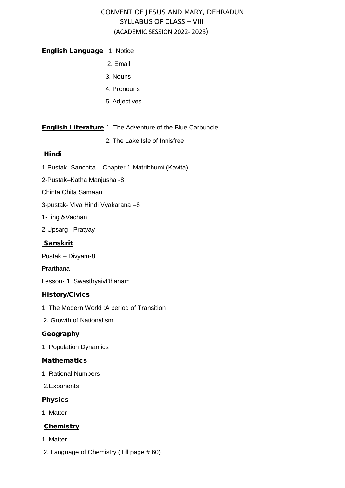### CONVENT OF JESUS AND MARY, DEHRADUN SYLLABUS OF CLASS – VIII (ACADEMIC SESSION 2022- 2023)

#### **English Language** 1. Notice

- 2. Email
- 3. Nouns
- 4. Pronouns
- 5. Adjectives

#### English Literature 1. The Adventure of the Blue Carbuncle

2. The Lake Isle of Innisfree

#### **Hindi**

- 1-Pustak- Sanchita Chapter 1-Matribhumi (Kavita)
- 2-Pustak–Katha Manjusha -8
- Chinta Chita Samaan
- 3-pustak- Viva Hindi Vyakarana –8
- 1-Ling &Vachan
- 2-Upsarg– Pratyay

#### Sanskrit

- Pustak Divyam-8
- Prarthana
- Lesson- 1 SwasthyaivDhanam

#### **History/Civics**

- 1. The Modern World : A period of Transition
- 2. Growth of Nationalism

#### **Geography**

1. Population Dynamics

#### **Mathematics**

- 1. Rational Numbers
- 2.Exponents

#### **Physics**

1. Matter

#### **Chemistry**

- 1. Matter
- 2. Language of Chemistry (Till page # 60)